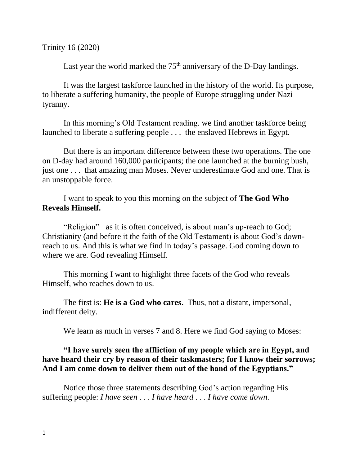Trinity 16 (2020)

Last year the world marked the  $75<sup>th</sup>$  anniversary of the D-Day landings.

It was the largest taskforce launched in the history of the world. Its purpose, to liberate a suffering humanity, the people of Europe struggling under Nazi tyranny.

In this morning's Old Testament reading. we find another taskforce being launched to liberate a suffering people . . . the enslaved Hebrews in Egypt.

But there is an important difference between these two operations. The one on D-day had around 160,000 participants; the one launched at the burning bush, just one . . . that amazing man Moses. Never underestimate God and one. That is an unstoppable force.

I want to speak to you this morning on the subject of **The God Who Reveals Himself.**

"Religion" as it is often conceived, is about man's up-reach to God; Christianity (and before it the faith of the Old Testament) is about God's downreach to us. And this is what we find in today's passage. God coming down to where we are. God revealing Himself.

This morning I want to highlight three facets of the God who reveals Himself, who reaches down to us.

The first is: **He is a God who cares.** Thus, not a distant, impersonal, indifferent deity.

We learn as much in verses 7 and 8. Here we find God saying to Moses:

## **"I have surely seen the affliction of my people which are in Egypt, and have heard their cry by reason of their taskmasters; for I know their sorrows; And I am come down to deliver them out of the hand of the Egyptians."**

Notice those three statements describing God's action regarding His suffering people: *I have seen* . . . *I have heard* . . . *I have come down.*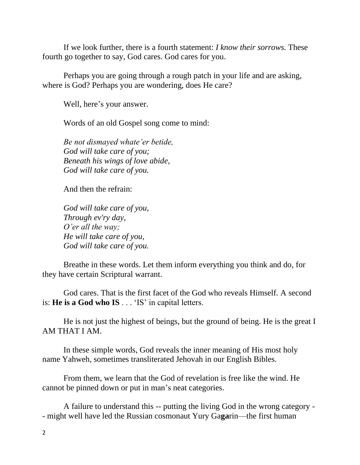If we look further, there is a fourth statement: *I know their sorrows.* These fourth go together to say, God cares. God cares for you.

Perhaps you are going through a rough patch in your life and are asking, where is God? Perhaps you are wondering, does He care?

Well, here's your answer.

Words of an old Gospel song come to mind:

*Be not dismayed whate'er betide, God will take care of you; Beneath his wings of love abide, God will take care of you.*

And then the refrain:

*God will take care of you, Through ev'ry day, O'er all the way; He will take care of you, God will take care of you.*

Breathe in these words. Let them inform everything you think and do, for they have certain Scriptural warrant.

God cares. That is the first facet of the God who reveals Himself. A second is: **He is a God who IS** . . . 'IS' in capital letters.

He is not just the highest of beings, but the ground of being. He is the great I AM THAT I AM.

In these simple words, God reveals the inner meaning of His most holy name Yahweh, sometimes transliterated Jehovah in our English Bibles.

From them, we learn that the God of revelation is free like the wind. He cannot be pinned down or put in man's neat categories.

A failure to understand this -- putting the living God in the wrong category - - might well have led the Russian cosmonaut Yury Ga**ga**rin—the first human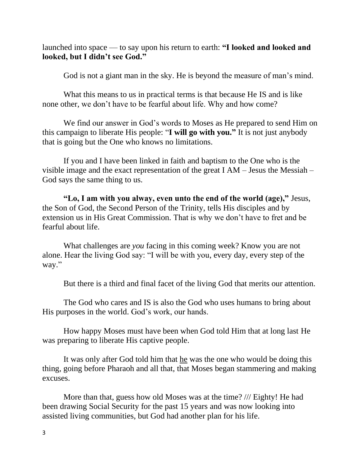launched into space — to say upon his return to earth: **"I looked and looked and looked, but I didn't see God."**

God is not a giant man in the sky. He is beyond the measure of man's mind.

What this means to us in practical terms is that because He IS and is like none other, we don't have to be fearful about life. Why and how come?

We find our answer in God's words to Moses as He prepared to send Him on this campaign to liberate His people: "**I will go with you."** It is not just anybody that is going but the One who knows no limitations.

If you and I have been linked in faith and baptism to the One who is the visible image and the exact representation of the great I AM – Jesus the Messiah – God says the same thing to us.

**"Lo, I am with you alway, even unto the end of the world (age),"** Jesus, the Son of God, the Second Person of the Trinity, tells His disciples and by extension us in His Great Commission. That is why we don't have to fret and be fearful about life.

What challenges are *you* facing in this coming week? Know you are not alone. Hear the living God say: "I will be with you, every day, every step of the way."

But there is a third and final facet of the living God that merits our attention.

The God who cares and IS is also the God who uses humans to bring about His purposes in the world. God's work, our hands.

How happy Moses must have been when God told Him that at long last He was preparing to liberate His captive people.

It was only after God told him that he was the one who would be doing this thing, going before Pharaoh and all that, that Moses began stammering and making excuses.

More than that, guess how old Moses was at the time? /// Eighty! He had been drawing Social Security for the past 15 years and was now looking into assisted living communities, but God had another plan for his life.